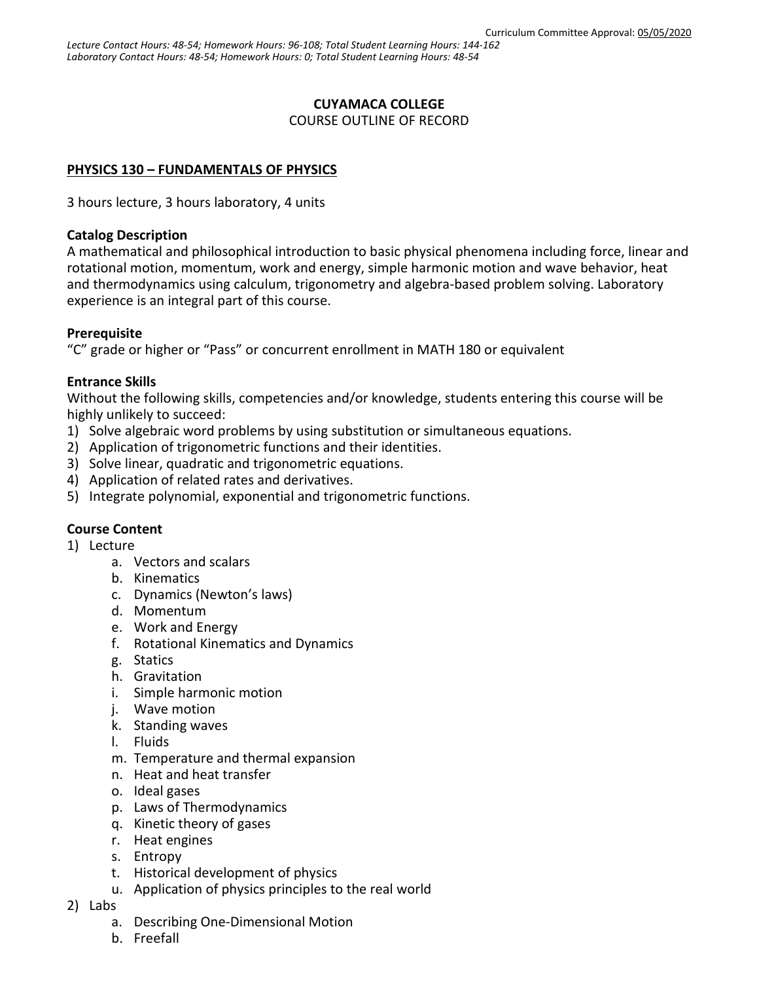### **CUYAMACA COLLEGE**

COURSE OUTLINE OF RECORD

### **PHYSICS 130 – FUNDAMENTALS OF PHYSICS**

3 hours lecture, 3 hours laboratory, 4 units

#### **Catalog Description**

A mathematical and philosophical introduction to basic physical phenomena including force, linear and rotational motion, momentum, work and energy, simple harmonic motion and wave behavior, heat and thermodynamics using calculum, trigonometry and algebra-based problem solving. Laboratory experience is an integral part of this course.

#### **Prerequisite**

"C" grade or higher or "Pass" or concurrent enrollment in MATH 180 or equivalent

### **Entrance Skills**

Without the following skills, competencies and/or knowledge, students entering this course will be highly unlikely to succeed:

- 1) Solve algebraic word problems by using substitution or simultaneous equations.
- 2) Application of trigonometric functions and their identities.
- 3) Solve linear, quadratic and trigonometric equations.
- 4) Application of related rates and derivatives.
- 5) Integrate polynomial, exponential and trigonometric functions.

# **Course Content**

- 1) Lecture
	- a. Vectors and scalars
	- b. Kinematics
	- c. Dynamics (Newton's laws)
	- d. Momentum
	- e. Work and Energy
	- f. Rotational Kinematics and Dynamics
	- g. Statics
	- h. Gravitation
	- i. Simple harmonic motion
	- j. Wave motion
	- k. Standing waves
	- l. Fluids
	- m. Temperature and thermal expansion
	- n. Heat and heat transfer
	- o. Ideal gases
	- p. Laws of Thermodynamics
	- q. Kinetic theory of gases
	- r. Heat engines
	- s. Entropy
	- t. Historical development of physics
	- u. Application of physics principles to the real world
- 2) Labs
	- a. Describing One-Dimensional Motion
	- b. Freefall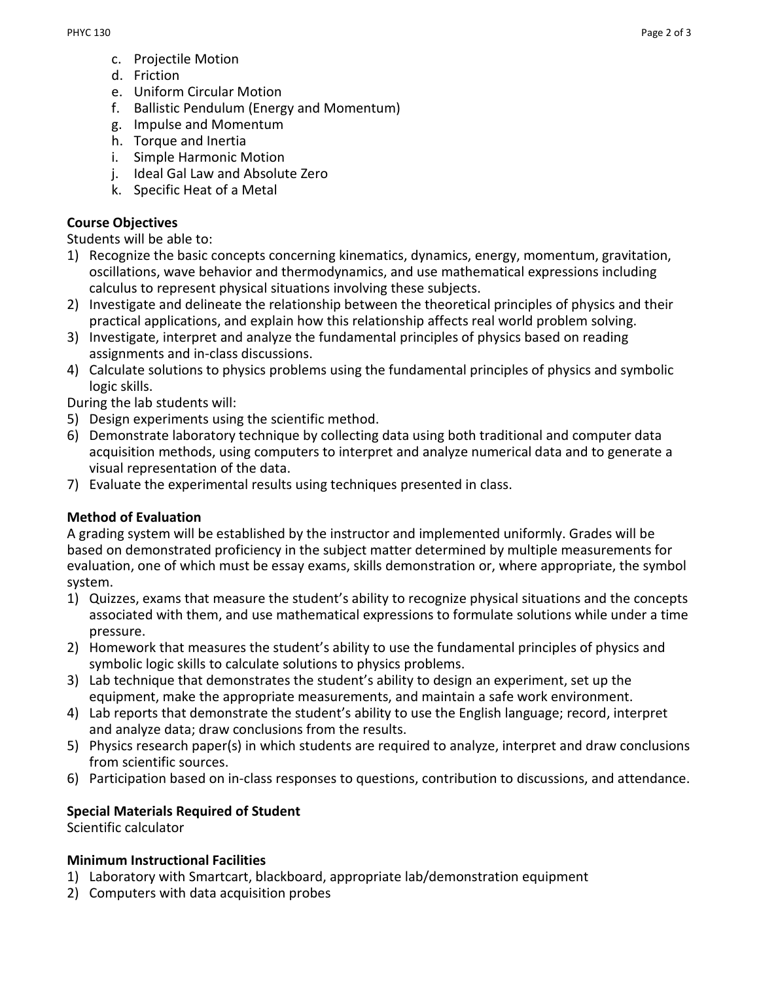- c. Projectile Motion
- d. Friction
- e. Uniform Circular Motion
- f. Ballistic Pendulum (Energy and Momentum)
- g. Impulse and Momentum
- h. Torque and Inertia
- i. Simple Harmonic Motion
- j. Ideal Gal Law and Absolute Zero
- k. Specific Heat of a Metal

#### **Course Objectives**

Students will be able to:

- 1) Recognize the basic concepts concerning kinematics, dynamics, energy, momentum, gravitation, oscillations, wave behavior and thermodynamics, and use mathematical expressions including calculus to represent physical situations involving these subjects.
- 2) Investigate and delineate the relationship between the theoretical principles of physics and their practical applications, and explain how this relationship affects real world problem solving.
- 3) Investigate, interpret and analyze the fundamental principles of physics based on reading assignments and in-class discussions.
- 4) Calculate solutions to physics problems using the fundamental principles of physics and symbolic logic skills.

During the lab students will:

- 5) Design experiments using the scientific method.
- 6) Demonstrate laboratory technique by collecting data using both traditional and computer data acquisition methods, using computers to interpret and analyze numerical data and to generate a visual representation of the data.
- 7) Evaluate the experimental results using techniques presented in class.

# **Method of Evaluation**

A grading system will be established by the instructor and implemented uniformly. Grades will be based on demonstrated proficiency in the subject matter determined by multiple measurements for evaluation, one of which must be essay exams, skills demonstration or, where appropriate, the symbol system.

- 1) Quizzes, exams that measure the student's ability to recognize physical situations and the concepts associated with them, and use mathematical expressions to formulate solutions while under a time pressure.
- 2) Homework that measures the student's ability to use the fundamental principles of physics and symbolic logic skills to calculate solutions to physics problems.
- 3) Lab technique that demonstrates the student's ability to design an experiment, set up the equipment, make the appropriate measurements, and maintain a safe work environment.
- 4) Lab reports that demonstrate the student's ability to use the English language; record, interpret and analyze data; draw conclusions from the results.
- 5) Physics research paper(s) in which students are required to analyze, interpret and draw conclusions from scientific sources.
- 6) Participation based on in-class responses to questions, contribution to discussions, and attendance.

# **Special Materials Required of Student**

Scientific calculator

#### **Minimum Instructional Facilities**

- 1) Laboratory with Smartcart, blackboard, appropriate lab/demonstration equipment
- 2) Computers with data acquisition probes